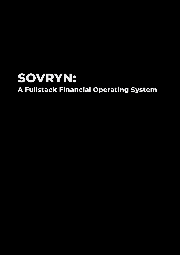## **SOVRYN: A Fullstack Financial Operating System**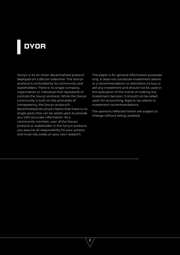## **DYOR**

Sovryn is an on-chain decentralized protocol deployed on a Bitcoin sidechain. The Sovryn protocol is controlled by its community and stakeholders. There is no single company, organization or individual that represents or controls the Sovryn protocol. While the Sovryn community is built on the principles of transparency, the Sovryn protocol's decentralized structure means that there is no single party that can be relied upon to provide you with accurate information. As a community member, user of the Sovryn protocol or stakeholder in the Sovryn protocol, you assume all responsibility for your actions and must rely solely on your own research.

This paper is for general information purposes only. It does not constitute investment advice or a recommendation or solicitation to buy or sell any investment and should not be used in the evaluation of the merits of making any investment decision. It should not be relied upon for accounting, legal or tax advice or investment recommendations.

The opinions reflected herein are subject to change without being updated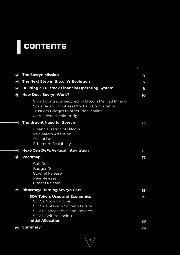## **CONTENTS**

| $\bigodot$    | <b>The Sovryn Mission</b>                                                                                                                                                                  | 4        |
|---------------|--------------------------------------------------------------------------------------------------------------------------------------------------------------------------------------------|----------|
| $\mathbf O$   | The Next Step in Bitcoin's Evolution                                                                                                                                                       | 5        |
| $\bf \hat{Q}$ | <b>Building a Fullstack Financial Operating System</b>                                                                                                                                     | 8        |
| Ô             | <b>How Does Sovryn Work?</b>                                                                                                                                                               | 10       |
|               | Smart Contracts Secured by Bitcoin Merged Mining<br>Scalable and Trustless Off-chain Computation<br>Trustless Bridges to other Blockchains<br>A Trustless Bitcoin Bridge                   |          |
| O             | <b>The Urgent Need for Sovryn</b>                                                                                                                                                          | 13       |
|               | <b>Financialization of Bitcoin</b><br><b>Regulatory Attention</b><br>Rise of DeFi<br><b>Ethereum Scalability</b>                                                                           |          |
| O             | <b>Next-Gen DeFi: Vertical Integration</b>                                                                                                                                                 | 15       |
| ô             | Roadmap                                                                                                                                                                                    | 17       |
|               | <b>Cub Release</b><br><b>Badger Release</b><br><b>Stoeffel Release</b><br>Peer Release<br><b>Citadel Release</b>                                                                           |          |
| Ô             | <b>Bitocracy: Herding Sovryn Cats</b>                                                                                                                                                      | 19       |
|               | <b>SOV Token: Uses and Economics</b><br>SOV is Not an Altcoin<br>SOV is a Stake in Sovryn's Future<br>SOV Balances Risks and Rewards<br>SOV is Self-Balancing<br><b>Initial Allocation</b> | 21<br>23 |
| O             | <b>Summary</b>                                                                                                                                                                             | 26       |
|               |                                                                                                                                                                                            |          |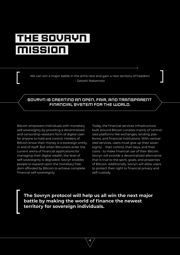# <span id="page-3-0"></span>**THE SOVRYN MISSION**

We can win a major battle in the arms race and gain a new territory of freedom - Satoshi Nakamoto

#### Sovryn is creating an open, fair, and transparent financial system for the world.

Bitcoin empowers individuals with monetary self-sovereignty by providing a decentralized and censorship-resistant form of digital cash for anyone to hold and control. Holders of Bitcoin know their money is a sovereign entity, in and of itself. But when Bitcoiners enter the current arena of financial applications for managing their digital wealth, the level of self-sovereignty is degraded. Sovryn enables people to expand upon the monetary freedom afforded by Bitcoin to achieve complete financial self-sovereignty.

Today, the financial services infrastructure built around Bitcoin consists mainly of centralized platforms like exchanges, lending platforms, and financial institutions. With centralized services, users must give up their sovereignty - their control, their keys, and their coins - to make financial use of their Bitcoin. Sovryn will provide a decentralized alternative that is true to the spirit, goals, and properties of Bitcoin. Additionally, Sovryn will allow users to protect their right to financial privacy and self-custody.

**The Sovryn protocol will help us all win the next major battle by making the world of finance the newest territory for sovereign individuals.**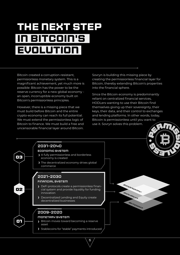# <span id="page-4-0"></span>**The Next Step in Bitcoin's Evolution**

Bitcoin created a corruption-resistant, permisionless monetary system. This is a magnificent achievement, yet much more is possible: Bitcoin has the power to be the reserve currency for a new global economy an open, incorruptible economy built on Bitcoin's permissionless principles.

However, there is a missing piece that we must build before Bitcoin and the entire crypto-economy can reach its full potential. We must extend the permissionless logic of Bitcoin to finance. We must build a free and uncensorable financial layer around Bitcoin.

Sovryn is building this missing piece by creating the permissionless financial layer for Bitcoin, thereby extending Bitcoin's properties into the financial sphere.

Since the Bitcoin economy is predominantly reliant on centralized financial services, HODLers wanting to use their Bitcoin find themselves giving up their sovereignty, their keys, their data, and their control to exchanges and lending platforms. In other words, today, Bitcoin is permissionless until you want to use it. Sovryn solves this problem.





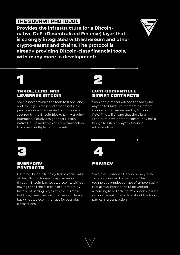### **THE SOVRYN PROTOCOL**

**Provides the infrastructure for a Bitcoinnative DeFi (Decentralized Finance) layer that is strongly integrated with Ethereum and other crypto-assets and chains. The protocol is already providing Bitcoin-class financial tools, with many more in development:**

#### **trade, lend, and leverage Bitcoin**

Sovryn now provides the tools to trade, lend, and leverage Bitcoin and other assets in a permissionless manner and within a system secured by the Bitcoin Blockchain. A trading interface uniquely designed for Bitcoinnative DeFi is available with zero transaction limits and multiple trading assets.

# **1 2**

#### **EVM-compatible smart Contracts**

Soon, the protocol will add the ability for anyone to build EVM-compatible smart contracts that are secured by Bitcoin PoW. This will ensure that the vibrant Ethereum development community has a bridge to Bitcoin's layer-2 financial infrastructure.



#### **everyday payments**

Users will be able to easily transmit the value of their Bitcoin for everyday payments through Bitcoin-backed stablecoins, without having to sell their Bitcoin or submit to KYC. Instead of parting ways with their Bitcoin holdings, users can put it to use as collateral to back the stablecoin they use for everyday transactions.



6

#### **Privacy**

Sovryn will enhance Bitcoin privacy with zk-proof shielded transactions. This technology employs a type of cryptography that allows information to be verified according to a Blockchain's consensus rules without revealing any data about the two parties in a transaction.

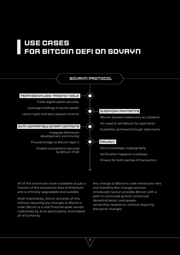## **USE CASES FOR BITCOIN DEFI ON SOVRYN**



7

All of this and much more is possible at just a fraction of the transaction fees of Ethereum and is infinitely upgradable and scalable.

Most importantly, Sovryn achieves all this without requiring any changes to Bitcoin's code. Bitcoin is a vital financial asset owned collectively by all its participants, and indeed all of humanity.

Any change to Bitcoin's code introduces risks and therefore few changes are ever introduced. Sovryn provides Bitcoin with a path to continued growth, enhanced decentralization, and greater censorship-resistance, without requiring disruptive changes.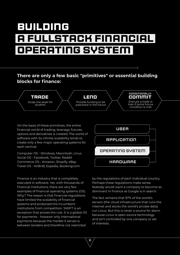## <span id="page-7-0"></span>**Building a Fullstack Financial Operating System**

#### **There are only a few basic "primitives" or essential building blocks for finance:**



On the basis of these primitives, the entire financial world of trading, leverage, futures, options and derivatives is created. The world of software with its infinite scalability tends to create only a few major operating systems for each vertical:

Computer OS - Windows, Macintosh, Linux Social OS - Facebook, Twitter, Reddit Commerce OS - Amazon, Shopify, eBay Travel OS - AirBnB, Expedia, Booking.com

Finance is an industry that is completely executed in software. Yet, with thousands of financial institutions, there are very few examples of financial operating systems (OS). Why? The reason is that financial regulations have limited the scalability of financial systems and protected the incumbent institutions from competition. SWIFT is an exception that proves the rule. It is a global OS for payments - however only international payments because the market it serves is between borders and therefore not restricted



by the regulations of each individual country. Perhaps these regulations make sense. Nobody would want a company to become as dominant in finance as Google is in search.

The fact remains that 97% of the world's servers (the cloud infrastructure that runs the internet and stores the world's private data) run Linux. But this is never a source for alarm because Linux is open source technology and isn't controlled by one company or set of interests.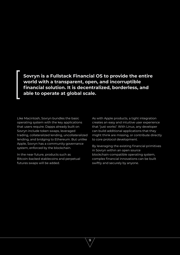**Sovryn is a Fullstack Financial OS to provide the entire world with a transparent, open, and incorruptible financial solution. It is decentralized, borderless, and able to operate at global scale.**

Like Macintosh, Sovryn bundles the basic operating system with the key applications that users require. Dapps already built on Sovryn include token swaps, leveraged trading, collateralized lending, uncollateralized lending, and bridging to Ethereum. But unlike Apple, Sovryn has a community governance system, enforced by the blockchain.

In the near future, products such as Bitcoin-backed stablecoins and perpetual futures swaps will be added.

As with Apple products, a tight integration creates an easy and intuitive user experience that "just works". With Linux, any developer can build additional applications that they might think are missing, or contribute directly to core protocol development.

By leveraging the existing financial primitives in Sovryn within an open source blockchain-compatible operating system, complex financial innovations can be built swiftly and securely by anyone.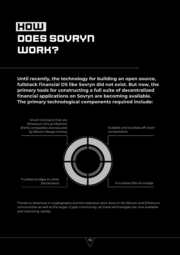## <span id="page-9-0"></span>**how does sovryn work?**

**Until recently, the technology for building an open source, fullstack financial OS like Sovryn did not exist. But now, the primary tools for constructing a full suite of decentralized financial applications on Sovryn are becoming available. The primary technological components required include:**



Thanks to advances in cryptography and the extensive work done in the Bitcoin and Ethereum communities as well as the larger crypto community, all these technologies are now available and improving rapidly.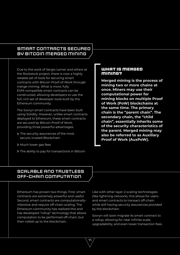#### <span id="page-10-0"></span>SMART CONTRACTS SECURED BY BITCOIN MERGED MINING

Due to the work of Sergio Lerner and others at the Rootstock project, there is now a highly reliable set of tools for securing smart contracts with Bitcoin Proof-of-Work through merge-mining. What is more, fully EVM-compatible smart contracts can be constructed, allowing developers to use the full, rich set of developer tools built by the Ethereum community.

The Sovryn smart contracts have been built using Solidity. However, unlike smart contracts deployed to Ethereum, these smart contracts are secured by Bitcoin Proof of Work, providing three powerful advantages:

- > The security assurances of the most secure, trusted Blockchain
- Much lower gas fees
- If The ability to pay for transactions in Bitcoin

#### **What is Merged Mining?**

**Merged mining is the process of mining two or more chains at once. Miners may use their computational power for mining blocks on multiple Proof of Work (PoW) blockchains at the same time. The primary chain is the "parent chain". The secondary chain, the "child chain", essentially inherits some of the security characteristics of the parent. Merged mining may also be referred to as Auxiliary Proof of Work (AuxPoW).**

#### SCALABLE AND TRUSTLESS OFF-CHAIN COMPUTATION

Ethereum has proven two things. First, smart contracts are extremely powerful and useful. Second, smart contracts are computationallyintensive and require off-chain scaling. The Ethereum community has realized this and has developed "rollup" technology that allows computation to be performed off-chain, but then rolled-up to the blockchain.

Like with other layer-2 scaling technologies (like lightning network), this allows for users and smart contracts to transact off-chain while still having security assurances provided by the blockchain.

Sovryn will soon migrate its smart contract to a rollup, allowing for near infinite scale, upgradability, and even lower transaction fees.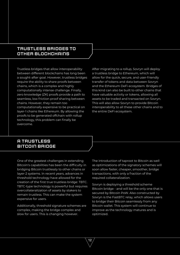#### <span id="page-11-0"></span>TRUSTLESS BRIDGES TO OTHER BLOCHCHAINS

Trustless bridges that allow interoperability between different blockchains has long been a sought-after goal. However, trustless bridges require the ability to share proofs between chains, which is a complex and highly computationally intense challenge. Finally, zero knowledge (ZK) proofs provide a path to seamless, low friction proof sharing between chains. However, they remain too computationally expensive to be practical on layer-1 chains like Ethereum. By allowing the proofs to be generated offchain with rollup technology, this problem can finally be overcome.

After migrating to a rollup, Sovryn will deploy a trustless bridge to Ethereum, which will allow for the quick, secure, and user-friendly transfer of tokens and data between Sovryn and the Ethereum DeFi ecosystem. Bridges of this kind can also be built to other chains that have valuable activity or tokens, allowing all assets to be traded and transacted on Sovryn. This will also allow Sovryn to provide Bitcoin interoperability to all these other chains and to the entire DeFi ecosystem.

#### A TRUSTLESS BITCOIN BRIDGE

One of the greatest challenges in extending Bitcoin's capabilities has been the difficulty in bridging Bitcoin trustlessly to other chains or layer-2 systems. In recent years, advances in threshold technology have allowed for the creation of the first true trustless bridge: TBTC. TBTC-type technology is powerful but requires overcollateralization of assets by stakers to remain trustless. This can make the system expensive for users.

Additionally, threshold signature schemes are complex, making the bridge complex and slow for users. This is changing however.

12

The introduction of taproot to Bitcoin as well as optimizations of the signatory schemes will soon allow faster, cheaper, smoother, bridge transactions, with only a fraction of the required collateralization.

Sovryn is deploying a threshold scheme Bitcoin bridge - and will be the only one that is secured by Bitcoin PoW. Also constructed by Sovryn is the FastBTC relay, which allows users to bridge their Bitcoin seamlessly from any Bitcoin wallet. This system will continue to improve as the technology matures and is optimized.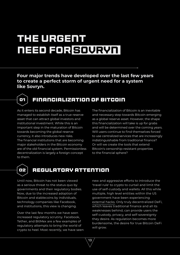# <span id="page-12-0"></span>**The Urgent Need for Sovryn**

**Four major trends have developed over the last few years to create a perfect storm of urgent need for a system like Sovryn.** 



### **o1 Financialization of Bitcoin**

As it enters its second decade, Bitcoin has managed to establish itself as a true reserve asset that can attract global investors and institutional investment. While this is an important step in the maturation of Bitcoin towards becoming the global reserve currency, it also introduces new risks. The financial institutions that are becoming major stakeholders in the Bitcoin economy are of the old financial system. Permissionless decentralization is largely a foreign concept to them.

The financialization of Bitcoin is an inevitable and necessary step towards Bitcoin emerging as a global reserve asset. However, the shape this financialization will take is up for grabs and will be determined over the coming years. Will users continue to find themselves forced to use centralized services that are increasingly indistinguishable from traditional finance? Or will we create the tools that extend Bitcoin's censorship-resistant properties to the financial sphere?



### **o2 Regulatory Attention**

13

Until now, Bitcoin has not been viewed as a serious threat to the status quo by governments and their regulatory bodies. Now, due to the increased adoption of Bitcoin and stablecoins by individuals, technology companies like Facebook, and institutions, this view is changing.

Over the last few months we have seen increased regulatory scrutiny. Facebook, Tether, and BitMex are a few examples of regulatory attempts to bring the world of crypto to heel. Most recently, we have seen new and aggressive efforts to introduce the 'travel rule' to crypto to curtail and limit the use of self-custody and wallets. All this while multiple, high level entities within the US government have been experiencing [external hacks. O](https://www.reuters.com/article/us-global-cyber-usa/u-s-cyber-agency-says-solarwinds-hackers-are-impacting-state-local-governments-idUSKBN28Y09L)nly truly decentralized DeFi, which leaves traditional finance and all its weaknesses behind, can provide users the self-custody, privacy, and self-sovereignty they desire. As regulation becomes more burdensome, the desire for true Bitcoin DeFi will grow.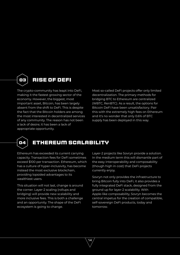<span id="page-13-0"></span>

The crypto-community has leapt into DeFi, making it the fastest growing sector of the economy. However, the biggest, most important asset, Bitcoin, has been largely absent from the shift to DeFi. This is despite the fact that the Bitcoin holders are among the most interested in decentralized services of any community. The reason has not been a lack of desire; it has been a lack of appropriate opportunity.

Most so-called DeFi projects offer only limited decentralization. The primary methods for bridging BTC to Ethereum are centralized (WBTC, RenBTC). As a result, the options for Bitcoin DeFi have been unsatisfactory. Pair this with the extremely high fees on Ethereum and it's no wonder that only 0.6% of BTC supply has been deployed in this way.



### **o4 Ethereum Scalability**

14

Ethereum has exceeded its current carrying capacity. Transaction fees for DeFi sometimes exceed \$100 per transaction. Ethereum, which has a culture of hyper-inclusivity, has become instead the most exclusive blockchain, providing lopsided advantages to its wealthiest users.

This situation will not last, change is around the corner. Layer-2 scaling (rollups and bridging) will provide new scalability and more inclusive fees. This is both a challenge and an opportunity. The shape of the DeFi ecosystem is going to change.

Layer-2 projects like Sovryn provide a solution. In the medium term this will dismantle part of the easy interoperability and composability (though high in cost) that DeFi projects currently enjoy.

Sovryn not only provides the infrastructure to bring Bitcoin fully into DeFi, it also provides a fully integrated DeFi stack, designed from the ground up for layer-2 scalability. With Apple-like composability, Sovryn becomes the central impetus for the creation of compatible, self-sovereign DeFi products, today and tomorrow.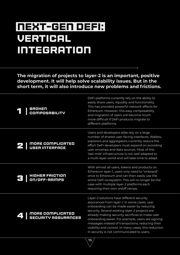# <span id="page-14-0"></span>**Next-Gen DeFi: Vertical Integration**

**The migration of projects to layer-2 is an important, positive development. It will help solve scalability issues. But in the short term, it will also introduce new problems and frictions.** 

| <b>BROKEN</b><br><b>COMPOSABILITY</b>   | DeFi platforms currently rely on the ability to<br>easily share users, liquidity and functionality.<br>This has provided powerful network effects for<br>Ethereum. However, this easy composability<br>and migration of users will become much<br>more difficult if DeFi products migrate to<br>different platforms.                                                                                                                                        |
|-----------------------------------------|-------------------------------------------------------------------------------------------------------------------------------------------------------------------------------------------------------------------------------------------------------------------------------------------------------------------------------------------------------------------------------------------------------------------------------------------------------------|
| MORE COMPLICATED<br>USER INTERFACE      | Users and developers alike rely on a large<br>number of shared user-facing interfaces. Wallets,<br>explorers and aggregators currently reduce the<br>effort DeFi developers must expend on providing<br>user onramps and data sources. Most of this<br>'last-mile' infrastructure is not well adapted to<br>a multi-layer world and will take time to adapt.                                                                                                |
| HIGHER FRICTION<br>ON/OFF-RAMPS         | With almost all users, tokens and products on<br>Ethereum layer-1, users only need to "onboard"<br>once to Ethereum and can then easily use the<br>entire DeFi ecosystem. This will no longer be the<br>case with multiple layer-2 platforms each<br>requiring their own on/off ramps.                                                                                                                                                                      |
| MORE COMPLICATED<br>SECURITY ASSURANCES | Layer-2 solutions have different security<br>assurances from layer-1. In some cases, user<br>onboarding can be made easier by reducing<br>security. Several existing layer-2 projects are<br>already making security sacrifices to make user<br>onboarding easier. For example, users are signing<br>messages instead of transactions, reducing their<br>visibility and control. In many cases, this reduction<br>in security is not communicated to users. |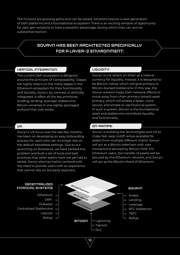The frictions are growing pains and can be solved. Solutions require a next-generation of DeFi platforms and a foundational ecosystem. There is an exciting window of opportunity for next-gen solutions to have a powerful advantage, during which they can accrue substantial traction.

#### Sovryn has been architected specifically for a layer-2 environment:

#### Vertical Integration:

The current DeFi ecosystem is designed around the principle of 'composability'. Dapps are highly reliant on the many dapps in the Ethereum ecosystem for their functionality and liquidity. Sovryn, by contrast, is vertically integrated. It offers all the key primitives (trading, lending, leverage, stablecoins, Bitcoin-onramp) in one tightly packaged protocol that 'just works'.

#### UX:

Sovryn's UX focus over the last few months has been on developing an easy onboarding process for users who can no longer rely on the default MetaMask settings. Due to our launching on Rootstock, we have tackled this problem and built a set of tools and best practices that other teams have not yet had to tackle. Sovryn also has had to contend with the need to provide users with an experience that cannot rely on 3rd party explorers.

#### Liquidity:

Sovryn is not reliant on Ether as a reserve currency for liquidity. Instead, it is designed to be Bitcoin-native, which will give primacy to Bitcoin-backed stablecoins. In this way, the Sovryn solution helps DeFi network effects to move away from chain primacy toward asset primacy, which will enable a faster, more secure, and simple to use financial system. In such a system, Bitcoin is the foundational asset and stablecoins contribute liquidity and functionality.

#### On-Ramps:

Sovryn is building the technologies and UX to make fast, easy on/off ramps available for assets from multiple different chains. Sovryn will act as a Bitcoin sidechain with user transactions secured by Bitcoin PoW. For Ethereum users, the transfer of assets will be secured by the Ethereum network, and Sovryn will act as the Bitcoin-shard of Ethereum.

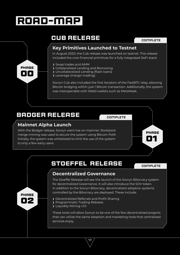## <span id="page-16-0"></span>**road-map**

### **CUB RELEASE**

#### complete

#### **Key Primitives Launched to Testnet**

In August 2020, the Cub release was launched on testnet. This release included the core financial primitives for a fully integrated DeFi stack:

- Swap trades and AMM
- Collateralized Lending and Borrowing
- Uncollateralized Lending (flash loans)
- Leverage (margin trading)

Sovryn Cub also included the first iteration of the FastBTC relay, allowing Bitcoin bridging within just 1 Bitcoin transaction. Additionally, the system was interoperable with Web3 wallets such as MetaMask.

### **BADGER RELEASE**

#### **Mainnet Alpha Launch**

With the Badger release, Sovryn went live on mainnet. Rootstock merge-mining was used to secure the system using Bitcoin PoW. Initially, the system was whitelisted to limit the use of the system to only a few early users.



### **Stoeffel RELEASE** complete

**o1**

**phase**

#### **Decentralized Governance**

The Stoeffel Release will see the launch of the Sovryn Bitocracy system for decentralized Governance. It will also introduce the SOV token. In addition to the Sovryn Bitocracy, decentralized adoption systems controlled by the Bitocracy are deployed. These include:

Decentralized Referrals and Profit Sharing

17

- Programmatic Trading Rebates
- **>** Liquidity Mining v1.0

These tools will allow Sovryn to be one of the few decentralized projects that can utilize the same adoption and marketing tools that centralized services enjoy.



**o2 phase**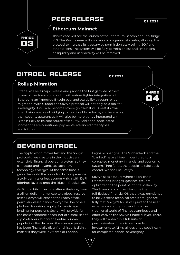### **peer RELEASE**

**o4**

**phase**

<span id="page-17-0"></span>

#### **Ethereum Mainnet**

This release will see the launch of the Ethereum Beacon and EthBridge v1.0. The Peer release will also launch programmatic sales, allowing the protocol to increase its treasury by permissionlessly selling SOV and other tokens. The system will be fully permissionless and limitations on liquidity and user activity will be removed.

### **Citadel RELEASE**

Q2 2021

#### **Rollup Migration**

Citadel will be a major release and provide the first glimpse of the full power of the Sovryn protocol. It will feature tighter integration with Ethereum, an improved Bitcoin peg, and scalability through rollup migration. With Citadel, the Sovryn protocol will not only be a tool for sovereignty, it will also become sovereign itself. It will boast its own interchain, capable of bridging to multiple blockchains, and leveraging their security assurances. It will also be more tightly integrated with Bitcoin PoW as its core source of security. Additional anticipated innovations are conditional payments, advanced order-types and futures.

### **Beyond Citadel**

The crypto world moves fast and the Sovryn protocol gives creators in the industry an extensible, financial operating system so they can adapt and advance as each new technology emerges. At the same time, it gives the world the opportunity to experience a truly permissionless economy, rich with DeFi offerings layered onto the Bitcoin Blockchain.

As Bitcoin hits milestone after milestone, from a trillion dollar market cap to a global reserve asset, Sovryn will expand the reach of fair, permissionless finance. Sovryn will become a platform for raising equity, for mortgage lending, for pensions. Sovryn will provide for the basic economic needs, not of a small set of crypto-traders, but for the entire human population. For decades, the average person has been financially disenfranchised. It didn't matter if they were in Atlanta or London,

Lagos or Shanghai. The "unbanked" and the "banked" have all been indentured to a corrupted monetary, financial and economic system. Time for us, the people, to take back control. We shall be Sovryn.

Sovryn sees a future where all on-chain transactions, bridges, gas fees, etc., are optimized to the point of infinite scalability. The Sovryn protocol will become the full-fledged financial OS that it was envisioned to be. As these technical breakthroughs are fully met, Sovryn's focus will pivot to the user experience - bridging users from their traditional world of finance seamlessly and effortlessly to the Sovryn financial layer. There, they will transact in a full suite of permissionless financial services from investments to ATMs, all designed specifically for complete financial sovereignty.

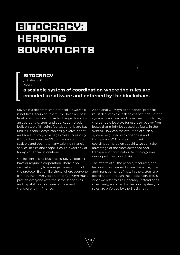# <span id="page-18-0"></span>**Bitocracy: Herding Sovryn Cats**

**Bitocracy**

/bit·ah·krəsi/ Noun

#### **a scalable system of coordination where the rules are encoded in software and enforced by the blockchain.**

Sovryn is a decentralized protocol. However, it is not like Bitcoin or Ethereum. Those are base level protocols, which hardly change. Sovryn is an operating system and application-stack built on top of Bitcoin's foundational layer. But unlike Bitcoin, Sovryn can easily evolve, adapt and scale. If Sovryn manages this successfully, it could become the OS of finance - far more scalable and open than any existing financial service. In size and scope, it could dwarf any of today's financial institutions.

Unlike centralized businesses, Sovryn doesn't have or require a corporation. There is no central authority to manage the evolution of the protocol. But unlike Linux (where everyone can run their own version or fork), Sovryn must provide everyone with the same set of rules and capabilities to ensure fairness and transparency in finance.

Additionally, Sovryn as a financial protocol must deal with the risk of loss of funds. For the system to succeed and have user confidence, there should be ways for users to recover from losses that might be caused by faults in the system. How can the evolution of such a system be guided with openness and transparency? This is a significant coordination problem. Luckily, we can take advantage of the most advanced and transparent coordination technology ever developed: the blockchain.

The efforts of all the people, resources, and technologies needed for maintenance, growth and management of risks in the system are coordinated through the blockchain. This is what we refer to as a Bitocracy. Instead of its rules being enforced by the court system, its rules are enforced by the Blockchain.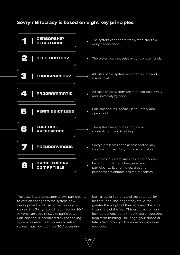### **Sovryn Bitocracy is based on eight key principles:**



20

The base Bitocracy system allows participants to vote on changes to the system, new development, and use of the treasury by staking the Sovryn coordination token: SOV. Anyone can acquire SOV to participate. Participation is incentivized by channeling system fee revenue to stakers. In return, stakers must lock up their SOV, accepting

both a loss of liquidity and the potential for loss of funds. The longer they stake, the greater the weight of their vote and the larger their share of the fees. This emphasis on long lock-up periods (up to three years) encourages long term thinking. The longer your financial fate is tied to Sovryn, the more Sovryn values your vote.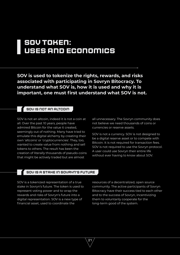### <span id="page-20-0"></span>**SOV Token: Uses and Economics**

**SOV is used to tokenize the rights, rewards, and risks associated with participating in Sovryn Bitocracy. To understand what SOV is, how it is used and why it is important, one must first understand what SOV is not.**

21

#### SOV is Not an Altcoin

SOV is not an altcoin, indeed it is not a coin at all. Over the past 10 years, people have admired Bitcoin for the value it created, seemingly out of nothing. Many have tried to emulate this digital alchemy by creating their own 'altcoins' or 'cryptocurrencies'. They, too, wanted to create value from nothing and sell tokens to others. The result has been the creation of literally thousands of pseudo-coins that might be actively traded but are almost

all unnecessary. The Sovryn community does not believe we need thousands of coins or currencies or reserve assets.

SOV is not a currency. SOV is not designed to be a digital reserve asset or to compete with Bitcoin. It is not required for transaction fees. SOV is not required to use the Sovryn protocol. A user could use Sovryn their entire life without ever having to know about SOV.

#### SOV is a Stake in Sovryn's Future

SOV is a tokenized representation of a true stake in Sovryn's future. The token is used to represent voting power and to wrap the rewards and risks of Sovryn's future into a digital representation. SOV is a new type of financial asset, used to coordinate the

resources of a decentralized, open source community. The active participants of Sovryn Bitocracy have their success tied to each other and to the success of Sovryn, incentivizing them to voluntarily cooperate for the long-term good of the system.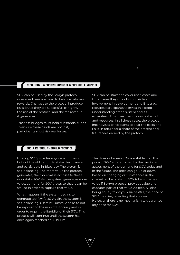#### <span id="page-21-0"></span>SOV Balances Risks and Rewards

SOV can be used by the Sovryn protocol wherever there is a need to balance risks and rewards. Changes to the protocol introduce risks, but if they are successful, can grow the use of the protocol and the fee revenue it generates.

Trustless bridges must hold substantial funds. To ensure these funds are not lost, participants must risk real losses.

SOV can be staked to cover user losses and thus insure they do not occur. Active involvement in development and Bitocracy requires participants to invest in a deep understanding of the system and its ecosystem. This investment takes real effort and resources. In all these cases, the protocol incentivises participants to bear the costs and risks, in return for a share of the present and future fees earned by the protocol.

#### SOV is Self-Balancing

Holding SOV provides anyone with the right, but not the obligation, to stake their tokens and participate in Bitocracy. The system is self-balancing. The more value the protocol generates, the more value accrues to those who stake SOV. As the system generates more value, demand for SOV grows so that it can be staked in order to capture that value.

What happens if the system begins to generate too few fees? Again, the system is self-balancing. Users will unstake so as to not be exposed to the risks of Bitocracy and in order to regain the liquidity of their SOV. This process will continue until the system has once again reached equilibrium.

22

This does not mean SOV is a stablecoin. The price of SOV is determined by the market's assessment of the demand for SOV, today and in the future. The price can go up or down based on changing circumstances in the market or the protocol. SOV token only has value if Sovryn protocol provides value and captures part of that value via fees. All else being equal, if Sovryn is successful, the price of SOV may rise, reflecting that success. However, there is no mechanism to guarantee any price for SOV.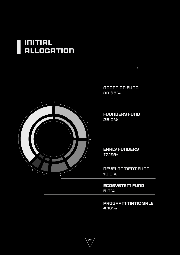### <span id="page-22-0"></span>**Initial Allocation**

l.

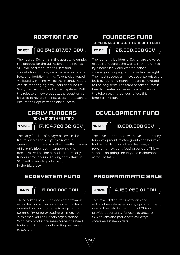#### **Adoption Fund**

#### 38,646,017.57 SOV **38.65% 25.0%**

The heart of Sovryn is in the users who employ the product for the utilization of their funds. SOV will be distributed to users and contributors of the system via rebates, referral fees, and liquidity mining. Tokens distributed via liquidity mining will be the incentivization vehicle for bringing new users and funds to Sovryn across multiple DeFi ecosystems. With the release of new products, the adoption can be used to reward the first users and testers to ensure their optimization and success.

#### **Early Funders** 10-24 month vesting

17,194,728.62 SOV **17.19% 10.0%**

The early funders of Sovryn believe in the future success of Sovryn as a revenuegenerating business as well as the effectiveness of Sovryn's Bitocracy in supporting the decentralized business model. These early funders have acquired a long-term stake in SOV with a view to participation in the Bitcoracy.

#### **Ecosystem Fund**

#### 5,000,000 SOV **5.0% 4.16%**

These tokens have been dedicated towards ecosystem initiatives, including ecosystemoriented bounty programs to engage the community, or for executing partnerships with other DeFi on Bitcoin organizations. With new product releases comes the need for incentivizing the onboarding new users to Sovryn.

#### **Founders Fund**

3-year vesting with 6-month cliff

#### 25,000,000 SOV

The founding builders of Sovryn are a diverse group from across the world. They are united by a belief in a world where financial sovereignty is a programmable human right. The most successful innovative enterprises are built by founding teams that are committed to the long-term. The team of contributors is heavily invested in the success of Sovryn and the token vesting periods reflect this long-term vision.

#### **Development Fund**

#### 10,000,000 SOV

The development pool will serve as a treasury for development-related grants and bounties, for the construction of new features, and for rewarding new contributing builders. This will support on-going security and maintenance as well as R&D.

#### **Programmatic Sale**

24

#### 4,159,253.81 SOV

To further distribute SOV tokens and enfranchise interested users, a programmatic sale will be held by the protocol. This will provide opportunity for users to procure SOV tokens and participate as Sovryn voters and stakeholders.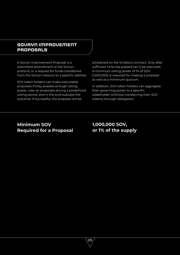#### **SOVRYN IMPROVEMENT PROPOSALS**

A Sovryn Improvement Proposal is a submitted amendment to the Sovryn protocol, or a request for funds transferred from the Sovryn treasury to a specific address.

SOV token holders can make executable proposals if they possess enough voting power, vote on proposals during a predefined voting period, and in the end evaluate the outcome. If successful, the proposal will be

scheduled on the timelock contract. Only after sufficient time has passed can it be executed. A minimum voting power of 1% of SOV (1,000,000) is required for making a proposal as well as a minimum quorum.

In addition, SOV token holders can aggregate their governing power to a specific stakeholder (without transferring their SOV tokens) through delegation.

#### **Minimum SOV Required for a Proposal**

#### **1,000,000 SOV, or 1% of the supply**